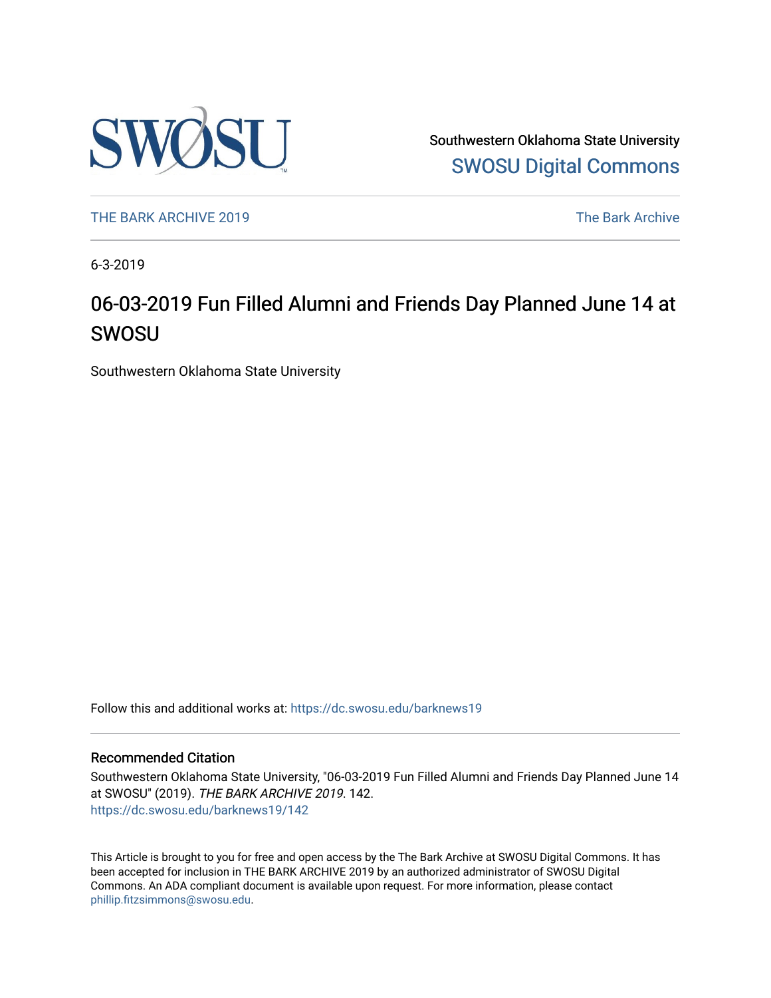

Southwestern Oklahoma State University [SWOSU Digital Commons](https://dc.swosu.edu/) 

[THE BARK ARCHIVE 2019](https://dc.swosu.edu/barknews19) The Bark Archive

6-3-2019

## 06-03-2019 Fun Filled Alumni and Friends Day Planned June 14 at SWOSU

Southwestern Oklahoma State University

Follow this and additional works at: [https://dc.swosu.edu/barknews19](https://dc.swosu.edu/barknews19?utm_source=dc.swosu.edu%2Fbarknews19%2F142&utm_medium=PDF&utm_campaign=PDFCoverPages)

#### Recommended Citation

Southwestern Oklahoma State University, "06-03-2019 Fun Filled Alumni and Friends Day Planned June 14 at SWOSU" (2019). THE BARK ARCHIVE 2019. 142. [https://dc.swosu.edu/barknews19/142](https://dc.swosu.edu/barknews19/142?utm_source=dc.swosu.edu%2Fbarknews19%2F142&utm_medium=PDF&utm_campaign=PDFCoverPages)

This Article is brought to you for free and open access by the The Bark Archive at SWOSU Digital Commons. It has been accepted for inclusion in THE BARK ARCHIVE 2019 by an authorized administrator of SWOSU Digital Commons. An ADA compliant document is available upon request. For more information, please contact [phillip.fitzsimmons@swosu.edu](mailto:phillip.fitzsimmons@swosu.edu).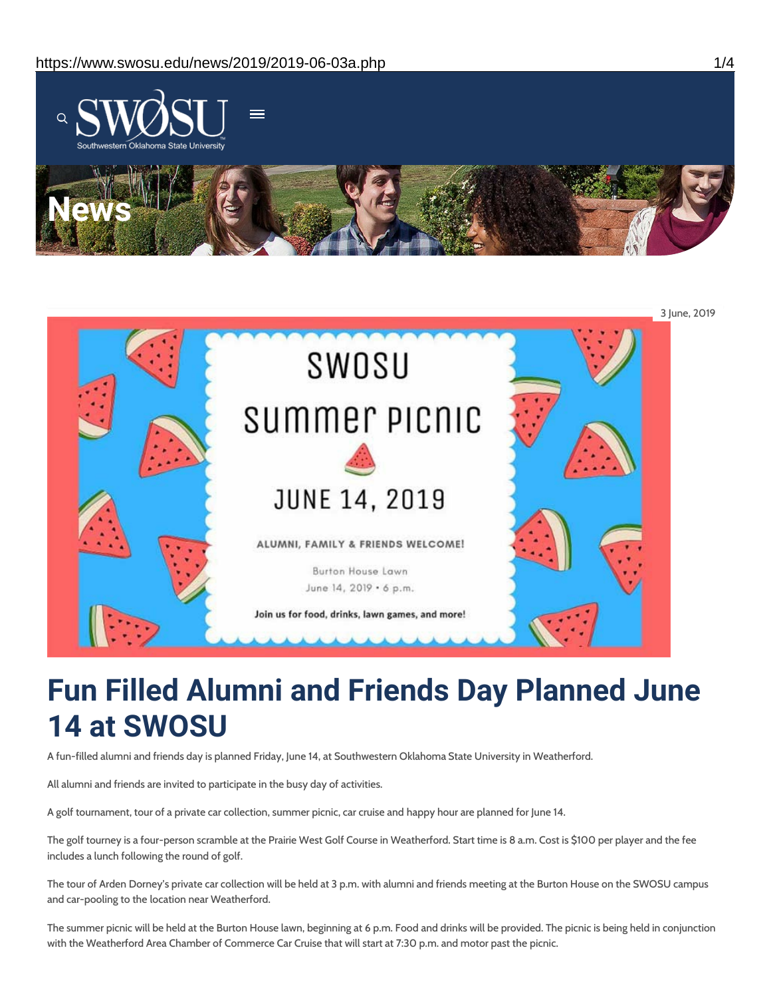



# **Fun Filled Alumni and Friends Day Planned June 14 at SWOSU**

A fun-filled alumni and friends day is planned Friday, June 14, at Southwestern Oklahoma State University in Weatherford.

All alumni and friends are invited to participate in the busy day of activities.

A golf tournament, tour of a private car collection, summer picnic, car cruise and happy hour are planned for June 14.

The golf tourney is a four-person scramble at the Prairie West Golf Course in Weatherford. Start time is 8 a.m. Cost is \$100 per player and the fee includes a lunch following the round of golf.

The tour of Arden Dorney's private car collection will be held at 3 p.m. with alumni and friends meeting at the Burton House on the SWOSU campus and car-pooling to the location near Weatherford.

The summer picnic will be held at the Burton House lawn, beginning at 6 p.m. Food and drinks will be provided. The picnic is being held in conjunction with the Weatherford Area Chamber of Commerce Car Cruise that will start at 7:30 p.m. and motor past the picnic.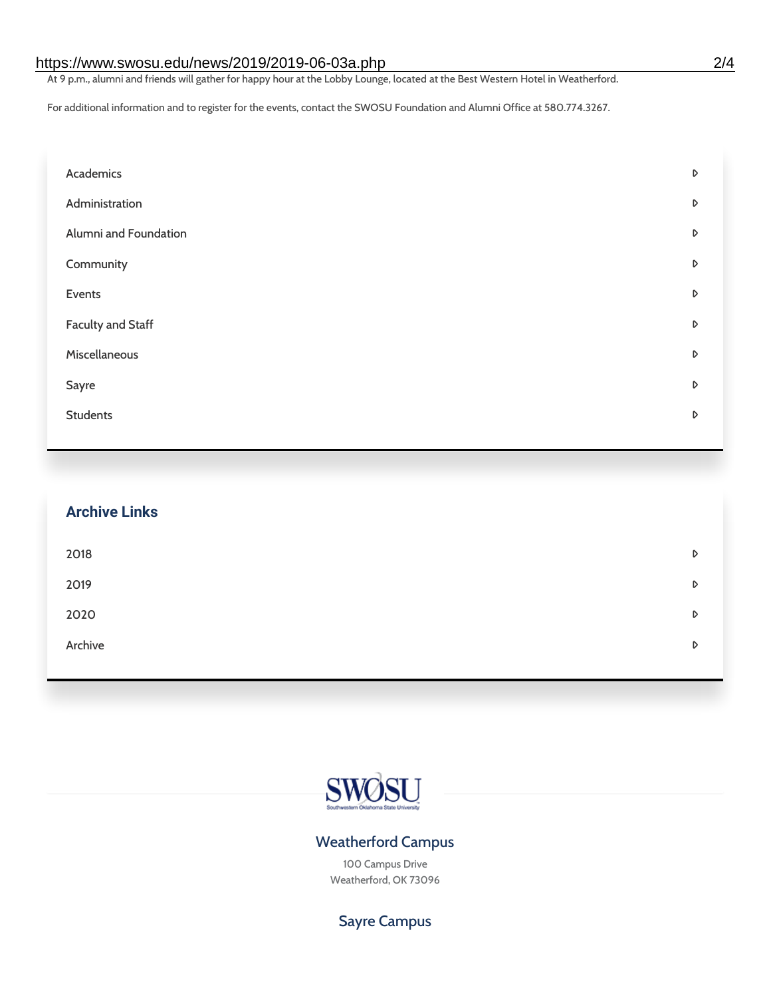#### https://www.swosu.edu/news/2019/2019-06-03a.php 2/4

At 9 p.m., alumni and friends will gather for happy hour at the Lobby Lounge, located at the Best Western Hotel in Weatherford.

For additional information and to register for the events, contact the SWOSU Foundation and Alumni Office at 580.774.3267.

| Academics                | D |
|--------------------------|---|
| Administration           | D |
| Alumni and Foundation    | D |
| Community                | D |
| Events                   | D |
| <b>Faculty and Staff</b> | D |
| Miscellaneous            | D |
| Sayre                    | D |
| <b>Students</b>          | D |
|                          |   |

| <b>Archive Links</b> |   |
|----------------------|---|
| 2018                 | D |
| 2019                 | D |
| 2020                 | D |
| Archive              | D |



#### Weatherford Campus

100 Campus Drive Weatherford, OK 73096

Sayre Campus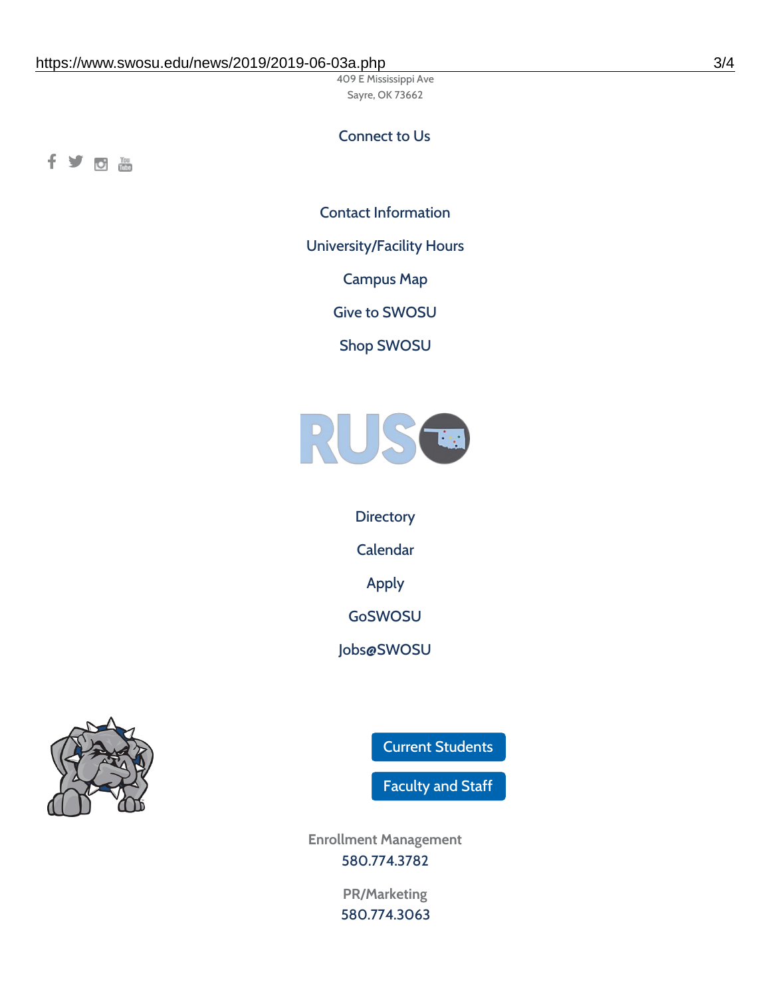409 E Mississippi Ave Sayre, OK 73662

### Connect to Us

fyom

Contact [Information](https://www.swosu.edu/about/contact.php)

[University/Facility](https://www.swosu.edu/about/operating-hours.php) Hours

[Campus](https://map.concept3d.com/?id=768#!ct/10964,10214,10213,10212,10205,10204,10203,10202,10136,10129,10128,0,31226,10130,10201,10641,0) Map

Give to [SWOSU](https://standingfirmly.com/donate)

Shop [SWOSU](https://shopswosu.merchorders.com/)



**[Directory](https://www.swosu.edu/directory/index.php)** [Calendar](https://eventpublisher.dudesolutions.com/swosu/) [Apply](https://www.swosu.edu/admissions/apply-to-swosu.php) [GoSWOSU](https://qlsso.quicklaunchsso.com/home/1267) [Jobs@SWOSU](https://swosu.csod.com/ux/ats/careersite/1/home?c=swosu)



Current [Students](https://bulldog.swosu.edu/index.php)

[Faculty](https://bulldog.swosu.edu/faculty-staff/index.php) and Staff

**Enrollment Management** [580.774.3782](tel:5807743782)

> **PR/Marketing** [580.774.3063](tel:5807743063)